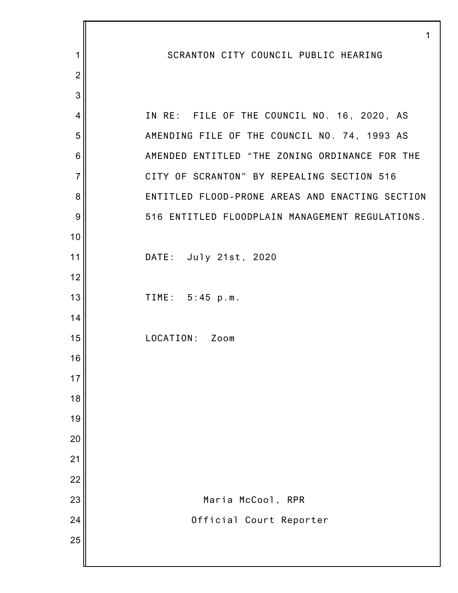|                  | 1                                               |
|------------------|-------------------------------------------------|
| 1                | SCRANTON CITY COUNCIL PUBLIC HEARING            |
| $\overline{2}$   |                                                 |
| 3                |                                                 |
| 4                | IN RE: FILE OF THE COUNCIL NO. 16, 2020, AS     |
| 5                | AMENDING FILE OF THE COUNCIL NO. 74, 1993 AS    |
| $6\phantom{1}6$  | AMENDED ENTITLED "THE ZONING ORDINANCE FOR THE  |
| $\overline{7}$   | CITY OF SCRANTON" BY REPEALING SECTION 516      |
| 8                | ENTITLED FLOOD-PRONE AREAS AND ENACTING SECTION |
| $\boldsymbol{9}$ | 516 ENTITLED FLOODPLAIN MANAGEMENT REGULATIONS. |
| 10               |                                                 |
| 11               | DATE: July 21st, 2020                           |
| 12               |                                                 |
| 13               | TIME: 5:45 p.m.                                 |
| 14               |                                                 |
| 15               | LOCATION: Zoom                                  |
| 16               |                                                 |
| 17               |                                                 |
| 18               |                                                 |
| 19               |                                                 |
| 20               |                                                 |
| 21               |                                                 |
| 22               |                                                 |
| 23               | Maria McCool, RPR                               |
| 24               | Official Court Reporter                         |
| 25               |                                                 |
|                  |                                                 |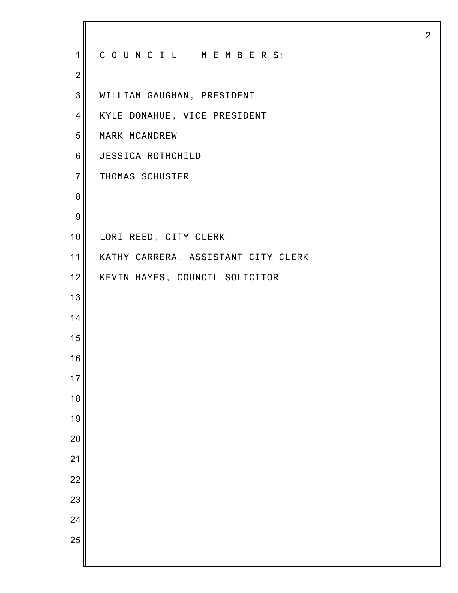| $\mathbf{1}$     | COUNCIL MEMBERS:                    |
|------------------|-------------------------------------|
| $\mathbf{2}$     |                                     |
| $\mathbf{3}$     | WILLIAM GAUGHAN, PRESIDENT          |
| $\overline{4}$   | KYLE DONAHUE, VICE PRESIDENT        |
| 5                | MARK MCANDREW                       |
| $\,6$            | JESSICA ROTHCHILD                   |
| $\overline{7}$   | THOMAS SCHUSTER                     |
| 8                |                                     |
| $\boldsymbol{9}$ |                                     |
| 10 <sub>1</sub>  | LORI REED, CITY CLERK               |
| 11               | KATHY CARRERA, ASSISTANT CITY CLERK |
| 12               | KEVIN HAYES, COUNCIL SOLICITOR      |
| 13               |                                     |
| 14               |                                     |
| 15               |                                     |
| 16               |                                     |
| 17               |                                     |
| 18               |                                     |
| 19               |                                     |
| 20               |                                     |
| 21               |                                     |
| 22               |                                     |
| 23               |                                     |
| 24               |                                     |
| 25               |                                     |
|                  |                                     |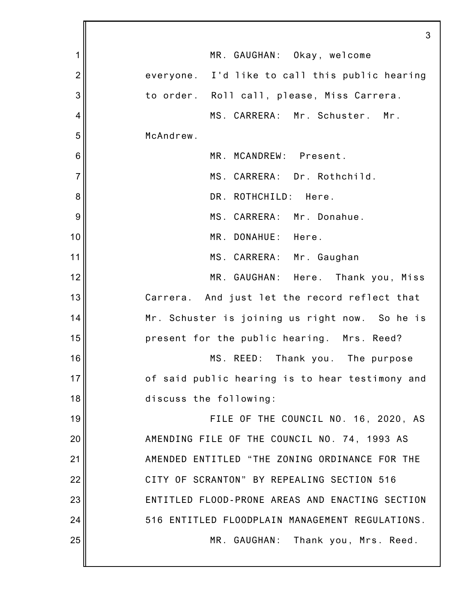|                | 3                                               |
|----------------|-------------------------------------------------|
| 1              | MR. GAUGHAN: Okay, welcome                      |
| $\overline{2}$ | everyone. I'd like to call this public hearing  |
| 3              | to order. Roll call, please, Miss Carrera.      |
| 4              | MS. CARRERA: Mr. Schuster. Mr.                  |
| 5              | McAndrew.                                       |
| 6              | MR. MCANDREW: Present.                          |
| $\overline{7}$ | MS. CARRERA: Dr. Rothchild.                     |
| 8              | DR. ROTHCHILD: Here.                            |
| 9              | MS. CARRERA: Mr. Donahue.                       |
| 10             | MR. DONAHUE: Here.                              |
| 11             | MS. CARRERA: Mr. Gaughan                        |
| 12             | MR. GAUGHAN: Here. Thank you, Miss              |
| 13             | Carrera. And just let the record reflect that   |
| 14             | Mr. Schuster is joining us right now. So he is  |
| 15             | present for the public hearing. Mrs. Reed?      |
| 16             | MS. REED: Thank you. The purpose                |
| 17             | of said public hearing is to hear testimony and |
| 18             | discuss the following:                          |
| 19             | FILE OF THE COUNCIL NO. 16, 2020, AS            |
| 20             | AMENDING FILE OF THE COUNCIL NO. 74, 1993 AS    |
| 21             | AMENDED ENTITLED "THE ZONING ORDINANCE FOR THE  |
| 22             | CITY OF SCRANTON" BY REPEALING SECTION 516      |
| 23             | ENTITLED FLOOD-PRONE AREAS AND ENACTING SECTION |
| 24             | 516 ENTITLED FLOODPLAIN MANAGEMENT REGULATIONS. |
| 25             | MR. GAUGHAN: Thank you, Mrs. Reed.              |
|                |                                                 |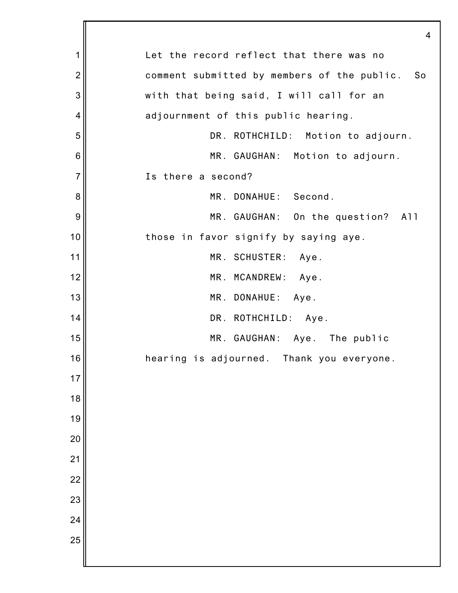|                 | 4                                              |
|-----------------|------------------------------------------------|
| $\mathbf 1$     | Let the record reflect that there was no       |
| $\overline{2}$  | comment submitted by members of the public. So |
| 3               | with that being said, I will call for an       |
| 4               | adjournment of this public hearing.            |
| 5               | DR. ROTHCHILD: Motion to adjourn.              |
| $6\phantom{1}6$ | MR. GAUGHAN: Motion to adjourn.                |
| $\overline{7}$  | Is there a second?                             |
| 8               | MR. DONAHUE: Second.                           |
| $\overline{9}$  | MR. GAUGHAN: On the question?<br>A11           |
| 10              | those in favor signify by saying aye.          |
| 11              | MR. SCHUSTER: Aye.                             |
| 12              | MR. MCANDREW: Aye.                             |
| 13              | MR. DONAHUE: Aye.                              |
| 14              | DR. ROTHCHILD: Aye.                            |
| 15              | MR. GAUGHAN: Aye. The public                   |
| 16              | hearing is adjourned.<br>Thank you everyone.   |
| 17              |                                                |
| 18              |                                                |
| 19              |                                                |
| 20              |                                                |
| 21              |                                                |
| 22              |                                                |
| 23              |                                                |
| 24              |                                                |
| 25              |                                                |
|                 |                                                |